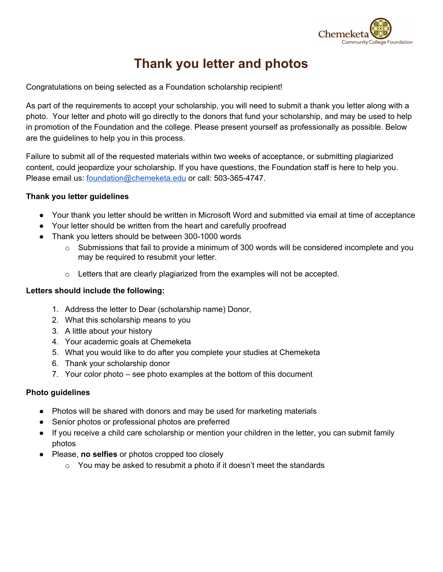

# **Thank you letter and photos**

Congratulations on being selected as a Foundation scholarship recipient!

As part of the requirements to accept your scholarship, you will need to submit a thank you letter along with a photo. Your letter and photo will go directly to the donors that fund your scholarship, and may be used to help in promotion of the Foundation and the college. Please present yourself as professionally as possible. Below are the guidelines to help you in this process.

Failure to submit all of the requested materials within two weeks of acceptance, or submitting plagiarized content, could jeopardize your scholarship. If you have questions, the Foundation staff is here to help you. Please email us: [foundation@chemeketa.edu](mailto:foundation@chemeketa.edu) or call: 503-365-4747.

## **Thank you letter guidelines**

- Your thank you letter should be written in Microsoft Word and submitted via email at time of acceptance
- Your letter should be written from the heart and carefully proofread
- Thank you letters should be between 300-1000 words
	- $\circ$  Submissions that fail to provide a minimum of 300 words will be considered incomplete and you may be required to resubmit your letter.
	- o Letters that are clearly plagiarized from the examples will not be accepted.

#### **Letters should include the following:**

- 1. Address the letter to Dear (scholarship name) Donor,
- 2. What this scholarship means to you
- 3. A little about your history
- 4. Your academic goals at Chemeketa
- 5. What you would like to do after you complete your studies at Chemeketa
- 6. Thank your scholarship donor
- 7. Your color photo see photo examples at the bottom of this document

#### **Photo guidelines**

- Photos will be shared with donors and may be used for marketing materials
- Senior photos or professional photos are preferred
- If you receive a child care scholarship or mention your children in the letter, you can submit family photos
- Please, **no selfies** or photos cropped too closely
	- $\circ$  You may be asked to resubmit a photo if it doesn't meet the standards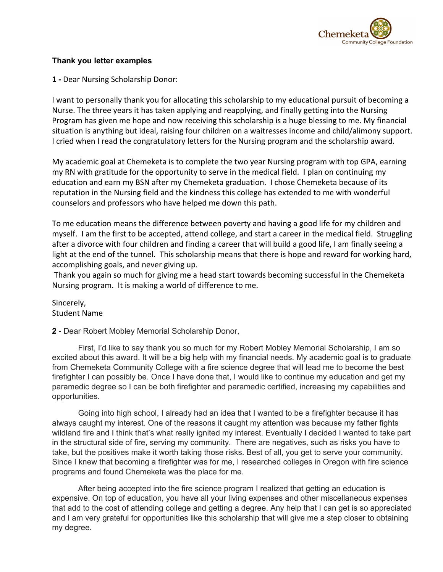

#### **Thank you letter examples**

**1 -** Dear Nursing Scholarship Donor:

I want to personally thank you for allocating this scholarship to my educational pursuit of becoming a Nurse. The three years it has taken applying and reapplying, and finally getting into the Nursing Program has given me hope and now receiving this scholarship is a huge blessing to me. My financial situation is anything but ideal, raising four children on a waitresses income and child/alimony support. I cried when I read the congratulatory letters for the Nursing program and the scholarship award.

My academic goal at Chemeketa is to complete the two year Nursing program with top GPA, earning my RN with gratitude for the opportunity to serve in the medical field. I plan on continuing my education and earn my BSN after my Chemeketa graduation. I chose Chemeketa because of its reputation in the Nursing field and the kindness this college has extended to me with wonderful counselors and professors who have helped me down this path.

To me education means the difference between poverty and having a good life for my children and myself. I am the first to be accepted, attend college, and start a career in the medical field. Struggling after a divorce with four children and finding a career that will build a good life, I am finally seeing a light at the end of the tunnel. This scholarship means that there is hope and reward for working hard, accomplishing goals, and never giving up.

 Thank you again so much for giving me a head start towards becoming successful in the Chemeketa Nursing program. It is making a world of difference to me.

Sincerely, Student Name

## **2** - Dear Robert Mobley Memorial Scholarship Donor,

First, I'd like to say thank you so much for my Robert Mobley Memorial Scholarship, I am so excited about this award. It will be a big help with my financial needs. My academic goal is to graduate from Chemeketa Community College with a fire science degree that will lead me to become the best firefighter I can possibly be. Once I have done that, I would like to continue my education and get my paramedic degree so I can be both firefighter and paramedic certified, increasing my capabilities and opportunities.

Going into high school, I already had an idea that I wanted to be a firefighter because it has always caught my interest. One of the reasons it caught my attention was because my father fights wildland fire and I think that's what really ignited my interest. Eventually I decided I wanted to take part in the structural side of fire, serving my community. There are negatives, such as risks you have to take, but the positives make it worth taking those risks. Best of all, you get to serve your community. Since I knew that becoming a firefighter was for me, I researched colleges in Oregon with fire science programs and found Chemeketa was the place for me.

After being accepted into the fire science program I realized that getting an education is expensive. On top of education, you have all your living expenses and other miscellaneous expenses that add to the cost of attending college and getting a degree. Any help that I can get is so appreciated and I am very grateful for opportunities like this scholarship that will give me a step closer to obtaining my degree.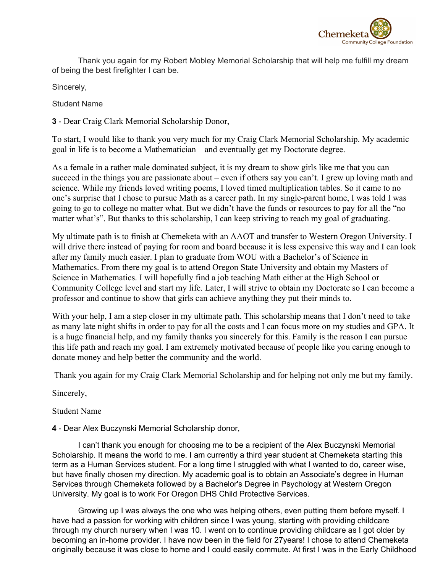

Thank you again for my Robert Mobley Memorial Scholarship that will help me fulfill my dream of being the best firefighter I can be.

Sincerely,

Student Name

**3** - Dear Craig Clark Memorial Scholarship Donor,

To start, I would like to thank you very much for my Craig Clark Memorial Scholarship. My academic goal in life is to become a Mathematician – and eventually get my Doctorate degree.

As a female in a rather male dominated subject, it is my dream to show girls like me that you can succeed in the things you are passionate about – even if others say you can't. I grew up loving math and science. While my friends loved writing poems, I loved timed multiplication tables. So it came to no one's surprise that I chose to pursue Math as a career path. In my single-parent home, I was told I was going to go to college no matter what. But we didn't have the funds or resources to pay for all the "no matter what's". But thanks to this scholarship, I can keep striving to reach my goal of graduating.

My ultimate path is to finish at Chemeketa with an AAOT and transfer to Western Oregon University. I will drive there instead of paying for room and board because it is less expensive this way and I can look after my family much easier. I plan to graduate from WOU with a Bachelor's of Science in Mathematics. From there my goal is to attend Oregon State University and obtain my Masters of Science in Mathematics. I will hopefully find a job teaching Math either at the High School or Community College level and start my life. Later, I will strive to obtain my Doctorate so I can become a professor and continue to show that girls can achieve anything they put their minds to.

With your help, I am a step closer in my ultimate path. This scholarship means that I don't need to take as many late night shifts in order to pay for all the costs and I can focus more on my studies and GPA. It is a huge financial help, and my family thanks you sincerely for this. Family is the reason I can pursue this life path and reach my goal. I am extremely motivated because of people like you caring enough to donate money and help better the community and the world.

Thank you again for my Craig Clark Memorial Scholarship and for helping not only me but my family.

Sincerely,

# Student Name

## **4** - Dear Alex Buczynski Memorial Scholarship donor,

I can't thank you enough for choosing me to be a recipient of the Alex Buczynski Memorial Scholarship. It means the world to me. I am currently a third year student at Chemeketa starting this term as a Human Services student. For a long time I struggled with what I wanted to do, career wise, but have finally chosen my direction. My academic goal is to obtain an Associate's degree in Human Services through Chemeketa followed by a Bachelor's Degree in Psychology at Western Oregon University. My goal is to work For Oregon DHS Child Protective Services.

Growing up I was always the one who was helping others, even putting them before myself. I have had a passion for working with children since I was young, starting with providing childcare through my church nursery when I was 10. I went on to continue providing childcare as I got older by becoming an in-home provider. I have now been in the field for 27years! I chose to attend Chemeketa originally because it was close to home and I could easily commute. At first I was in the Early Childhood